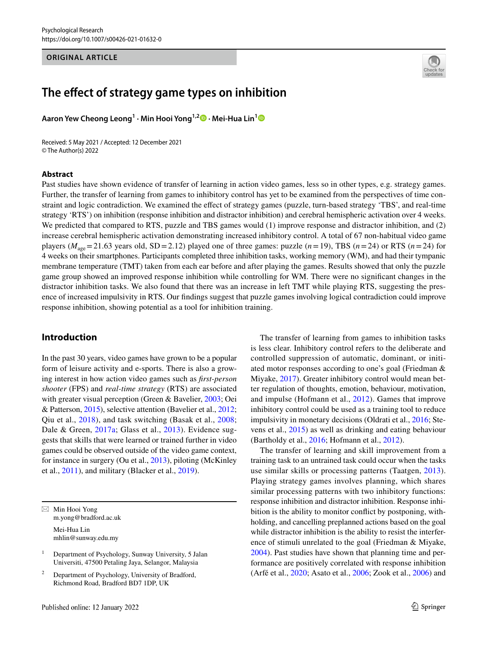#### **ORIGINAL ARTICLE**



# **The efect of strategy game types on inhibition**

**Aaron Yew Cheong Leong1 · Min Hooi Yong1,2 · Mei‑Hua Lin[1](http://orcid.org/0000-0002-2873-5426)**

Received: 5 May 2021 / Accepted: 12 December 2021 © The Author(s) 2022

## **Abstract**

Past studies have shown evidence of transfer of learning in action video games, less so in other types, e.g. strategy games. Further, the transfer of learning from games to inhibitory control has yet to be examined from the perspectives of time constraint and logic contradiction. We examined the efect of strategy games (puzzle, turn-based strategy 'TBS', and real-time strategy 'RTS') on inhibition (response inhibition and distractor inhibition) and cerebral hemispheric activation over 4 weeks. We predicted that compared to RTS, puzzle and TBS games would (1) improve response and distractor inhibition, and (2) increase cerebral hemispheric activation demonstrating increased inhibitory control. A total of 67 non-habitual video game players ( $M_{\text{age}}$  = 21.63 years old, SD = 2.12) played one of three games: puzzle ( $n=19$ ), TBS ( $n=24$ ) or RTS ( $n=24$ ) for 4 weeks on their smartphones. Participants completed three inhibition tasks, working memory (WM), and had their tympanic membrane temperature (TMT) taken from each ear before and after playing the games. Results showed that only the puzzle game group showed an improved response inhibition while controlling for WM. There were no signifcant changes in the distractor inhibition tasks. We also found that there was an increase in left TMT while playing RTS, suggesting the presence of increased impulsivity in RTS. Our fndings suggest that puzzle games involving logical contradiction could improve response inhibition, showing potential as a tool for inhibition training.

# **Introduction**

In the past 30 years, video games have grown to be a popular form of leisure activity and e-sports. There is also a growing interest in how action video games such as *frst-person shooter* (FPS) and *real-time strategy* (RTS) are associated with greater visual perception (Green & Bavelier, [2003;](#page-11-0) Oei & Patterson, [2015](#page-11-1)), selective attention (Bavelier et al., [2012](#page-10-0); Qiu et al., [2018\)](#page-11-2), and task switching (Basak et al., [2008](#page-10-1); Dale & Green, [2017a](#page-10-2); Glass et al., [2013](#page-10-3)). Evidence suggests that skills that were learned or trained further in video games could be observed outside of the video game context, for instance in surgery (Ou et al., [2013\)](#page-11-3), piloting (McKinley et al., [2011\)](#page-11-4), and military (Blacker et al., [2019\)](#page-10-4).

 $\boxtimes$  Min Hooi Yong m.yong@bradford.ac.uk Mei-Hua Lin mhlin@sunway.edu.my

<sup>1</sup> Department of Psychology, Sunway University, 5 Jalan Universiti, 47500 Petaling Jaya, Selangor, Malaysia

Department of Psychology, University of Bradford, Richmond Road, Bradford BD7 1DP, UK

The transfer of learning from games to inhibition tasks is less clear. Inhibitory control refers to the deliberate and controlled suppression of automatic, dominant, or initiated motor responses according to one's goal (Friedman & Miyake, [2017\)](#page-10-5). Greater inhibitory control would mean better regulation of thoughts, emotion, behaviour, motivation, and impulse (Hofmann et al., [2012](#page-11-5)). Games that improve inhibitory control could be used as a training tool to reduce impulsivity in monetary decisions (Oldrati et al., [2016](#page-11-6); Stevens et al., [2015\)](#page-11-7) as well as drinking and eating behaviour (Bartholdy et al., [2016](#page-10-6); Hofmann et al., [2012\)](#page-11-5).

The transfer of learning and skill improvement from a training task to an untrained task could occur when the tasks use similar skills or processing patterns (Taatgen, [2013](#page-11-8)). Playing strategy games involves planning, which shares similar processing patterns with two inhibitory functions: response inhibition and distractor inhibition. Response inhibition is the ability to monitor confict by postponing, withholding, and cancelling preplanned actions based on the goal while distractor inhibition is the ability to resist the interference of stimuli unrelated to the goal (Friedman & Miyake, [2004](#page-10-7)). Past studies have shown that planning time and performance are positively correlated with response inhibition (Arfé et al., [2020;](#page-10-8) Asato et al., [2006;](#page-10-9) Zook et al., [2006\)](#page-12-0) and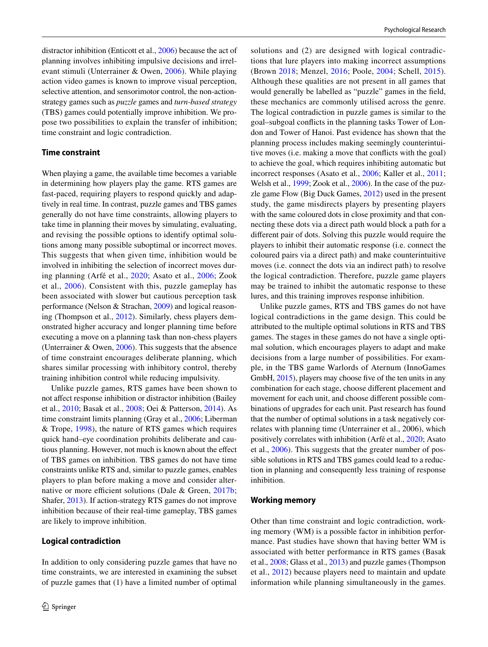distractor inhibition (Enticott et al., [2006](#page-10-10)) because the act of planning involves inhibiting impulsive decisions and irrelevant stimuli (Unterrainer & Owen, [2006\)](#page-11-9). While playing action video games is known to improve visual perception, selective attention, and sensorimotor control, the non-actionstrategy games such as *puzzle* games and *turn-based strategy* (TBS) games could potentially improve inhibition. We propose two possibilities to explain the transfer of inhibition; time constraint and logic contradiction.

#### **Time constraint**

When playing a game, the available time becomes a variable in determining how players play the game. RTS games are fast-paced, requiring players to respond quickly and adaptively in real time. In contrast, puzzle games and TBS games generally do not have time constraints, allowing players to take time in planning their moves by simulating, evaluating, and revising the possible options to identify optimal solutions among many possible suboptimal or incorrect moves. This suggests that when given time, inhibition would be involved in inhibiting the selection of incorrect moves during planning (Arfé et al., [2020](#page-10-8); Asato et al., [2006](#page-10-9); Zook et al., [2006](#page-12-0)). Consistent with this, puzzle gameplay has been associated with slower but cautious perception task performance (Nelson & Strachan, [2009\)](#page-11-10) and logical reasoning (Thompson et al., [2012](#page-11-11)). Similarly, chess players demonstrated higher accuracy and longer planning time before executing a move on a planning task than non-chess players (Unterrainer & Owen, [2006](#page-11-9)). This suggests that the absence of time constraint encourages deliberate planning, which shares similar processing with inhibitory control, thereby training inhibition control while reducing impulsivity.

Unlike puzzle games, RTS games have been shown to not afect response inhibition or distractor inhibition (Bailey et al., [2010](#page-10-11); Basak et al., [2008;](#page-10-1) Oei & Patterson, [2014](#page-11-12)). As time constraint limits planning (Gray et al., [2006](#page-10-12); Liberman & Trope, [1998](#page-11-13)), the nature of RTS games which requires quick hand–eye coordination prohibits deliberate and cautious planning. However, not much is known about the efect of TBS games on inhibition. TBS games do not have time constraints unlike RTS and, similar to puzzle games, enables players to plan before making a move and consider alternative or more efficient solutions (Dale & Green,  $2017b$ ; Shafer, [2013\)](#page-11-14). If action-strategy RTS games do not improve inhibition because of their real-time gameplay, TBS games are likely to improve inhibition.

### **Logical contradiction**

In addition to only considering puzzle games that have no time constraints, we are interested in examining the subset of puzzle games that (1) have a limited number of optimal solutions and (2) are designed with logical contradictions that lure players into making incorrect assumptions (Brown [2018](#page-10-14); Menzel, [2016](#page-11-15); Poole, [2004](#page-11-16); Schell, [2015](#page-11-17)). Although these qualities are not present in all games that would generally be labelled as "puzzle" games in the feld, these mechanics are commonly utilised across the genre. The logical contradiction in puzzle games is similar to the goal–subgoal conficts in the planning tasks Tower of London and Tower of Hanoi. Past evidence has shown that the planning process includes making seemingly counterintuitive moves (i.e. making a move that conficts with the goal) to achieve the goal, which requires inhibiting automatic but incorrect responses (Asato et al., [2006](#page-10-9); Kaller et al., [2011](#page-11-18); Welsh et al., [1999](#page-12-1); Zook et al., [2006](#page-12-0)). In the case of the puzzle game Flow (Big Duck Games, [2012](#page-10-15)) used in the present study, the game misdirects players by presenting players with the same coloured dots in close proximity and that connecting these dots via a direct path would block a path for a diferent pair of dots. Solving this puzzle would require the players to inhibit their automatic response (i.e. connect the coloured pairs via a direct path) and make counterintuitive moves (i.e. connect the dots via an indirect path) to resolve the logical contradiction. Therefore, puzzle game players may be trained to inhibit the automatic response to these lures, and this training improves response inhibition.

Unlike puzzle games, RTS and TBS games do not have logical contradictions in the game design. This could be attributed to the multiple optimal solutions in RTS and TBS games. The stages in these games do not have a single optimal solution, which encourages players to adapt and make decisions from a large number of possibilities. For example, in the TBS game Warlords of Aternum (InnoGames GmbH, [2015](#page-10-16)), players may choose five of the ten units in any combination for each stage, choose diferent placement and movement for each unit, and choose diferent possible combinations of upgrades for each unit. Past research has found that the number of optimal solutions in a task negatively correlates with planning time (Unterrainer et al., 2006), which positively correlates with inhibition (Arfé et al., [2020;](#page-10-8) Asato et al., [2006\)](#page-10-9). This suggests that the greater number of possible solutions in RTS and TBS games could lead to a reduction in planning and consequently less training of response inhibition.

#### **Working memory**

Other than time constraint and logic contradiction, working memory (WM) is a possible factor in inhibition performance. Past studies have shown that having better WM is associated with better performance in RTS games (Basak et al., [2008](#page-10-1); Glass et al., [2013](#page-10-3)) and puzzle games (Thompson et al., [2012\)](#page-11-11) because players need to maintain and update information while planning simultaneously in the games.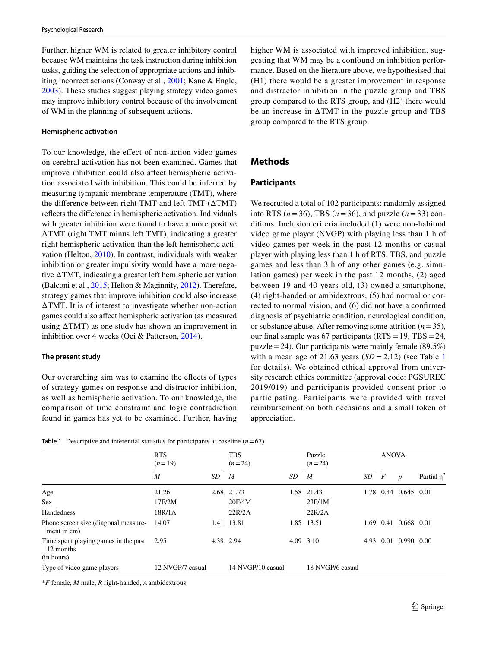Further, higher WM is related to greater inhibitory control because WM maintains the task instruction during inhibition tasks, guiding the selection of appropriate actions and inhibiting incorrect actions (Conway et al., [2001](#page-10-17); Kane & Engle, [2003](#page-11-19)). These studies suggest playing strategy video games may improve inhibitory control because of the involvement of WM in the planning of subsequent actions.

### **Hemispheric activation**

To our knowledge, the efect of non-action video games on cerebral activation has not been examined. Games that improve inhibition could also afect hemispheric activation associated with inhibition. This could be inferred by measuring tympanic membrane temperature (TMT), where the diference between right TMT and left TMT (ΔTMT) refects the diference in hemispheric activation. Individuals with greater inhibition were found to have a more positive ΔTMT (right TMT minus left TMT), indicating a greater right hemispheric activation than the left hemispheric activation (Helton, [2010](#page-11-20)). In contrast, individuals with weaker inhibition or greater impulsivity would have a more negative ΔTMT, indicating a greater left hemispheric activation (Balconi et al., [2015;](#page-10-18) Helton & Maginnity, [2012](#page-11-21)). Therefore, strategy games that improve inhibition could also increase ΔTMT. It is of interest to investigate whether non-action games could also afect hemispheric activation (as measured using  $\Delta TMT$ ) as one study has shown an improvement in inhibition over 4 weeks (Oei & Patterson, [2014](#page-11-12)).

## **The present study**

Our overarching aim was to examine the efects of types of strategy games on response and distractor inhibition, as well as hemispheric activation. To our knowledge, the comparison of time constraint and logic contradiction found in games has yet to be examined. Further, having higher WM is associated with improved inhibition, suggesting that WM may be a confound on inhibition performance. Based on the literature above, we hypothesised that (H1) there would be a greater improvement in response and distractor inhibition in the puzzle group and TBS group compared to the RTS group, and (H2) there would be an increase in ΔTMT in the puzzle group and TBS group compared to the RTS group.

# **Methods**

## **Participants**

We recruited a total of 102 participants: randomly assigned into RTS ( $n=36$ ), TBS ( $n=36$ ), and puzzle ( $n=33$ ) conditions. Inclusion criteria included (1) were non-habitual video game player (NVGP) with playing less than 1 h of video games per week in the past 12 months or casual player with playing less than 1 h of RTS, TBS, and puzzle games and less than 3 h of any other games (e.g. simulation games) per week in the past 12 months, (2) aged between 19 and 40 years old, (3) owned a smartphone, (4) right-handed or ambidextrous, (5) had normal or corrected to normal vision, and (6) did not have a confrmed diagnosis of psychiatric condition, neurological condition, or substance abuse. After removing some attrition  $(n=35)$ , our final sample was 67 participants ( $RTS = 19$ ,  $TBS = 24$ , puzzle = 24). Our participants were mainly female (89.5%) with a mean age of 2[1](#page-2-0).63 years  $(SD = 2.12)$  (see Table 1) for details). We obtained ethical approval from university research ethics committee (approval code: PGSUREC 2019/019) and participants provided consent prior to participating. Participants were provided with travel reimbursement on both occasions and a small token of appreciation.

<span id="page-2-0"></span>

|  | <b>Table 1</b> Descriptive and inferential statistics for participants at baseline $(n=67)$ |  |  |  |  |  |  |  |
|--|---------------------------------------------------------------------------------------------|--|--|--|--|--|--|--|
|--|---------------------------------------------------------------------------------------------|--|--|--|--|--|--|--|

|                                                     | <b>RTS</b><br>$(n=19)$ |           | <b>TBS</b><br>$(n=24)$ |      | Puzzle<br>$(n=24)$ |      | <b>ANOVA</b> |                  |                  |
|-----------------------------------------------------|------------------------|-----------|------------------------|------|--------------------|------|--------------|------------------|------------------|
|                                                     | M                      | SD        | M                      | SD   | $\boldsymbol{M}$   | SD   | F            | $\boldsymbol{p}$ | Partial $\eta^2$ |
| Age                                                 | 21.26                  |           | 2.68 21.73             | 1.58 | 21.43              | 1.78 | 0.44         | 0.645 0.01       |                  |
| <b>Sex</b>                                          | 17F/2M                 |           | 20F/4M                 |      | 23F/1M             |      |              |                  |                  |
| Handedness                                          | 18R/1A                 |           | 22R/2A                 |      | 22R/2A             |      |              |                  |                  |
| Phone screen size (diagonal measure-<br>ment in cm) | 14.07                  | 1.41      | 13.81                  |      | 1.85 13.51         | 1.69 | 0.41         | 0.668 0.01       |                  |
| Time spent playing games in the past<br>12 months   | 2.95                   | 4.38 2.94 |                        |      | 4.09 3.10          | 4.93 | 0.01         | 0.990 0.00       |                  |
| (in hours)                                          |                        |           |                        |      |                    |      |              |                  |                  |
| Type of video game players                          | 12 NVGP/7 casual       |           | 14 NVGP/10 casual      |      | 18 NVGP/6 casual   |      |              |                  |                  |

\**F* female, *M* male, *R* right-handed, *A*ambidextrous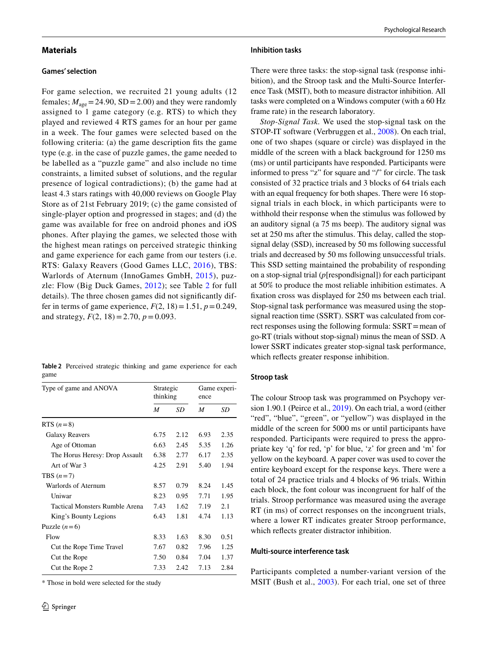## **Materials**

#### **Games' selection**

For game selection, we recruited 21 young adults (12 females;  $M_{\text{age}} = 24.90$ , SD = 2.00) and they were randomly assigned to 1 game category (e.g. RTS) to which they played and reviewed 4 RTS games for an hour per game in a week. The four games were selected based on the following criteria: (a) the game description fits the game type (e.g. in the case of puzzle games, the game needed to be labelled as a "puzzle game" and also include no time constraints, a limited subset of solutions, and the regular presence of logical contradictions); (b) the game had at least 4.3 stars ratings with 40,000 reviews on Google Play Store as of 21st February 2019; (c) the game consisted of single-player option and progressed in stages; and (d) the game was available for free on android phones and iOS phones. After playing the games, we selected those with the highest mean ratings on perceived strategic thinking and game experience for each game from our testers (i.e. RTS: Galaxy Reavers (Good Games LLC, [2016](#page-10-19)), TBS: Warlords of Aternum (InnoGames GmbH, [2015](#page-10-16)), puzzle: Flow (Big Duck Games, [2012\)](#page-10-15); see Table [2](#page-3-0) for full details). The three chosen games did not signifcantly differ in terms of game experience,  $F(2, 18) = 1.51$ ,  $p = 0.249$ , and strategy,  $F(2, 18) = 2.70$ ,  $p = 0.093$ .

<span id="page-3-0"></span>**Table 2** Perceived strategic thinking and game experience for each game

| Type of game and ANOVA         | Strategic<br>thinking |      | Game experi-<br>ence |      |  |
|--------------------------------|-----------------------|------|----------------------|------|--|
|                                | M                     | SD   | M                    | SD   |  |
| RTS $(n=8)$                    |                       |      |                      |      |  |
| Galaxy Reavers                 | 6.75                  | 2.12 | 6.93                 | 2.35 |  |
| Age of Ottoman                 | 6.63                  | 2.45 | 5.35                 | 1.26 |  |
| The Horus Heresy: Drop Assault | 6.38                  | 2.77 | 6.17                 | 2.35 |  |
| Art of War 3                   | 4.25                  | 2.91 | 5.40                 | 1.94 |  |
| TBS $(n=7)$                    |                       |      |                      |      |  |
| Warlords of Aternum            | 8.57                  | 0.79 | 8.24                 | 1.45 |  |
| Uniwar                         | 8.23                  | 0.95 | 7.71                 | 1.95 |  |
| Tactical Monsters Rumble Arena | 7.43                  | 1.62 | 7.19                 | 2.1  |  |
| King's Bounty Legions          | 6.43                  | 1.81 | 4.74                 | 1.13 |  |
| Puzzle $(n=6)$                 |                       |      |                      |      |  |
| Flow                           | 8.33                  | 1.63 | 8.30                 | 0.51 |  |
| Cut the Rope Time Travel       | 7.67                  | 0.82 | 7.96                 | 1.25 |  |
| Cut the Rope                   | 7.50                  | 0.84 | 7.04                 | 1.37 |  |
| Cut the Rope 2                 | 7.33                  | 2.42 | 7.13                 | 2.84 |  |

\* Those in bold were selected for the study

### **Inhibition tasks**

There were three tasks: the stop-signal task (response inhibition), and the Stroop task and the Multi-Source Interference Task (MSIT), both to measure distractor inhibition. All tasks were completed on a Windows computer (with a 60 Hz frame rate) in the research laboratory.

*Stop-Signal Task.* We used the stop-signal task on the STOP-IT software (Verbruggen et al., [2008](#page-11-22)). On each trial, one of two shapes (square or circle) was displayed in the middle of the screen with a black background for 1250 ms (ms) or until participants have responded. Participants were informed to press "z" for square and "/" for circle. The task consisted of 32 practice trials and 3 blocks of 64 trials each with an equal frequency for both shapes. There were 16 stopsignal trials in each block, in which participants were to withhold their response when the stimulus was followed by an auditory signal (a 75 ms beep). The auditory signal was set at 250 ms after the stimulus. This delay, called the stopsignal delay (SSD), increased by 50 ms following successful trials and decreased by 50 ms following unsuccessful trials. This SSD setting maintained the probability of responding on a stop-signal trial (*p*[respond|signal]) for each participant at 50% to produce the most reliable inhibition estimates. A fxation cross was displayed for 250 ms between each trial. Stop-signal task performance was measured using the stopsignal reaction time (SSRT). SSRT was calculated from correct responses using the following formula: SSRT=mean of go-RT (trials without stop-signal) minus the mean of SSD. A lower SSRT indicates greater stop-signal task performance, which refects greater response inhibition.

#### **Stroop task**

The colour Stroop task was programmed on Psychopy version 1.90.1 (Peirce et al., [2019\)](#page-11-23). On each trial, a word (either "red", "blue", "green", or "yellow") was displayed in the middle of the screen for 5000 ms or until participants have responded. Participants were required to press the appropriate key 'q' for red, 'p' for blue, 'z' for green and 'm' for yellow on the keyboard. A paper cover was used to cover the entire keyboard except for the response keys. There were a total of 24 practice trials and 4 blocks of 96 trials. Within each block, the font colour was incongruent for half of the trials. Stroop performance was measured using the average RT (in ms) of correct responses on the incongruent trials, where a lower RT indicates greater Stroop performance, which refects greater distractor inhibition.

## **Multi‑source interference task**

Participants completed a number-variant version of the MSIT (Bush et al., [2003](#page-10-20)). For each trial, one set of three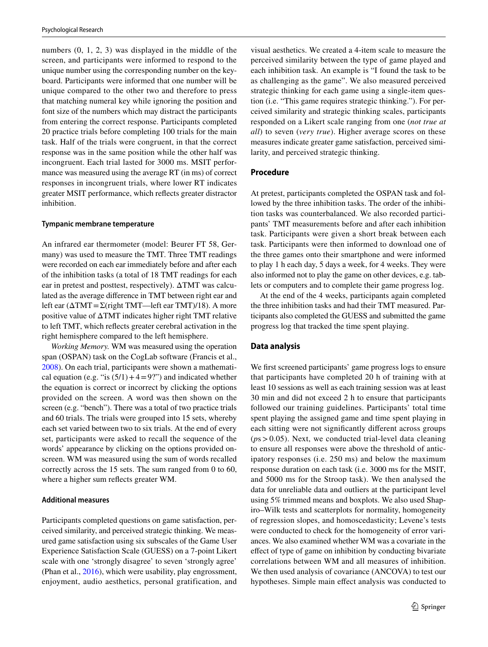numbers (0, 1, 2, 3) was displayed in the middle of the screen, and participants were informed to respond to the unique number using the corresponding number on the keyboard. Participants were informed that one number will be unique compared to the other two and therefore to press that matching numeral key while ignoring the position and font size of the numbers which may distract the participants from entering the correct response. Participants completed 20 practice trials before completing 100 trials for the main task. Half of the trials were congruent, in that the correct response was in the same position while the other half was incongruent. Each trial lasted for 3000 ms. MSIT performance was measured using the average RT (in ms) of correct responses in incongruent trials, where lower RT indicates greater MSIT performance, which refects greater distractor inhibition.

#### **Tympanic membrane temperature**

An infrared ear thermometer (model: Beurer FT 58, Germany) was used to measure the TMT. Three TMT readings were recorded on each ear immediately before and after each of the inhibition tasks (a total of 18 TMT readings for each ear in pretest and posttest, respectively). ΔTMT was calculated as the average diference in TMT between right ear and left ear ( $\Delta TMT = \Sigma$ (right TMT—left ear TMT)/18). A more positive value of ΔTMT indicates higher right TMT relative to left TMT, which refects greater cerebral activation in the right hemisphere compared to the left hemisphere.

*Working Memory.* WM was measured using the operation span (OSPAN) task on the CogLab software (Francis et al., [2008](#page-10-21)). On each trial, participants were shown a mathematical equation (e.g. "is  $(5/1) + 4 = 9$ ?") and indicated whether the equation is correct or incorrect by clicking the options provided on the screen. A word was then shown on the screen (e.g. "bench"). There was a total of two practice trials and 60 trials. The trials were grouped into 15 sets, whereby each set varied between two to six trials. At the end of every set, participants were asked to recall the sequence of the words' appearance by clicking on the options provided onscreen. WM was measured using the sum of words recalled correctly across the 15 sets. The sum ranged from 0 to 60, where a higher sum refects greater WM.

## **Additional measures**

Participants completed questions on game satisfaction, perceived similarity, and perceived strategic thinking. We measured game satisfaction using six subscales of the Game User Experience Satisfaction Scale (GUESS) on a 7-point Likert scale with one 'strongly disagree' to seven 'strongly agree' (Phan et al., [2016\)](#page-11-24), which were usability, play engrossment, enjoyment, audio aesthetics, personal gratification, and visual aesthetics. We created a 4-item scale to measure the perceived similarity between the type of game played and each inhibition task. An example is "I found the task to be as challenging as the game". We also measured perceived strategic thinking for each game using a single-item question (i.e. "This game requires strategic thinking."). For perceived similarity and strategic thinking scales, participants responded on a Likert scale ranging from one (*not true at all*) to seven (*very true*). Higher average scores on these measures indicate greater game satisfaction, perceived similarity, and perceived strategic thinking.

#### **Procedure**

At pretest, participants completed the OSPAN task and followed by the three inhibition tasks. The order of the inhibition tasks was counterbalanced. We also recorded participants' TMT measurements before and after each inhibition task. Participants were given a short break between each task. Participants were then informed to download one of the three games onto their smartphone and were informed to play 1 h each day, 5 days a week, for 4 weeks. They were also informed not to play the game on other devices, e.g. tablets or computers and to complete their game progress log.

At the end of the 4 weeks, participants again completed the three inhibition tasks and had their TMT measured. Participants also completed the GUESS and submitted the game progress log that tracked the time spent playing.

#### **Data analysis**

We first screened participants' game progress logs to ensure that participants have completed 20 h of training with at least 10 sessions as well as each training session was at least 30 min and did not exceed 2 h to ensure that participants followed our training guidelines. Participants' total time spent playing the assigned game and time spent playing in each sitting were not signifcantly diferent across groups (*p*s>0.05). Next, we conducted trial-level data cleaning to ensure all responses were above the threshold of anticipatory responses (i.e. 250 ms) and below the maximum response duration on each task (i.e. 3000 ms for the MSIT, and 5000 ms for the Stroop task). We then analysed the data for unreliable data and outliers at the participant level using 5% trimmed means and boxplots. We also used Shapiro–Wilk tests and scatterplots for normality, homogeneity of regression slopes, and homoscedasticity; Levene's tests were conducted to check for the homogeneity of error variances. We also examined whether WM was a covariate in the efect of type of game on inhibition by conducting bivariate correlations between WM and all measures of inhibition. We then used analysis of covariance (ANCOVA) to test our hypotheses. Simple main effect analysis was conducted to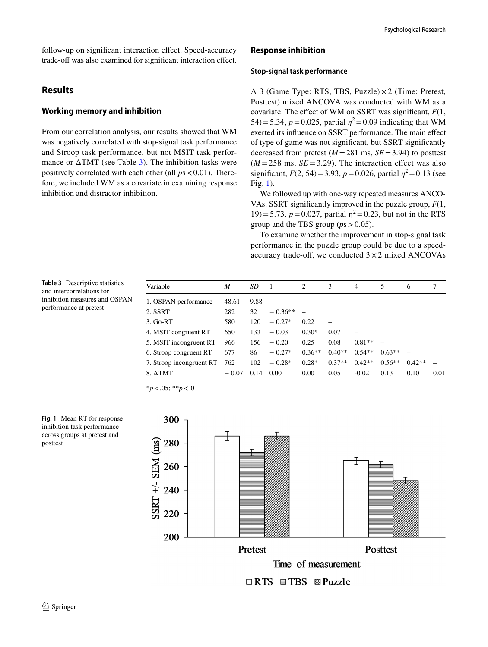follow-up on signifcant interaction efect. Speed-accuracy trade-off was also examined for significant interaction effect.

# **Results**

# **Working memory and inhibition**

From our correlation analysis, our results showed that WM was negatively correlated with stop-signal task performance and Stroop task performance, but not MSIT task performance or  $\triangle TMT$  (see Table [3\)](#page-5-0). The inhibition tasks were positively correlated with each other (all *p*s<0.01). Therefore, we included WM as a covariate in examining response inhibition and distractor inhibition.

# **Response inhibition**

## **Stop‑signal task performance**

A 3 (Game Type: RTS, TBS, Puzzle) × 2 (Time: Pretest, Posttest) mixed ANCOVA was conducted with WM as a covariate. The efect of WM on SSRT was signifcant, *F*(1, 54)=5.34,  $p = 0.025$ , partial  $\eta^2 = 0.09$  indicating that WM exerted its infuence on SSRT performance. The main efect of type of game was not signifcant, but SSRT signifcantly decreased from pretest  $(M = 281 \text{ ms}, SE = 3.94)$  to posttest  $(M = 258 \text{ ms}, SE = 3.29)$ . The interaction effect was also significant,  $F(2, 54) = 3.93$ ,  $p = 0.026$ , partial  $\eta^2 = 0.13$  (see Fig. [1\)](#page-5-1).

We followed up with one-way repeated measures ANCO-VAs. SSRT signifcantly improved in the puzzle group, *F*(1, 19)=5.73,  $p = 0.027$ , partial  $\eta^2 = 0.23$ , but not in the RTS group and the TBS group  $(ps > 0.05)$ .

To examine whether the improvement in stop-signal task performance in the puzzle group could be due to a speedaccuracy trade-off, we conducted  $3 \times 2$  mixed ANCOVAs

<span id="page-5-0"></span>**Table 3** Descriptive statistics and intercorrelations for inhibition measures and OSPAN performance at pretest

| Variable                 | M       | SD   |           | $\overline{2}$ | 3        | $\overline{4}$ | 5        | 6        | 7    |
|--------------------------|---------|------|-----------|----------------|----------|----------------|----------|----------|------|
| 1. OSPAN performance     | 48.61   | 9.88 |           |                |          |                |          |          |      |
| 2. SSRT                  | 282     | 32   | $-0.36**$ |                |          |                |          |          |      |
| $3.$ Go-RT               | 580     | 120  | $-0.27*$  | 0.22           |          |                |          |          |      |
| 4. MSIT congruent RT     | 650     | 133  | $-0.03$   | $0.30*$        | 0.07     |                |          |          |      |
| 5. MSIT incongruent RT   | 966     | 156  | $-0.20$   | 0.25           | 0.08     | $0.81**$       |          |          |      |
| 6. Stroop congruent RT   | 677     | 86   | $-0.27*$  | $0.36**$       | $0.40**$ | $0.54**$       | $0.63**$ |          |      |
| 7. Stroop incongruent RT | 762     | 102  | $-0.28*$  | $0.28*$        | $0.37**$ | $0.42**$       | $0.56**$ | $0.42**$ |      |
| $8. \Delta TMT$          | $-0.07$ | 0.14 | 0.00      | 0.00           | 0.05     | $-0.02$        | 0.13     | 0.10     | 0.01 |

\**p*<.05; \*\**p*<.01

<span id="page-5-1"></span>

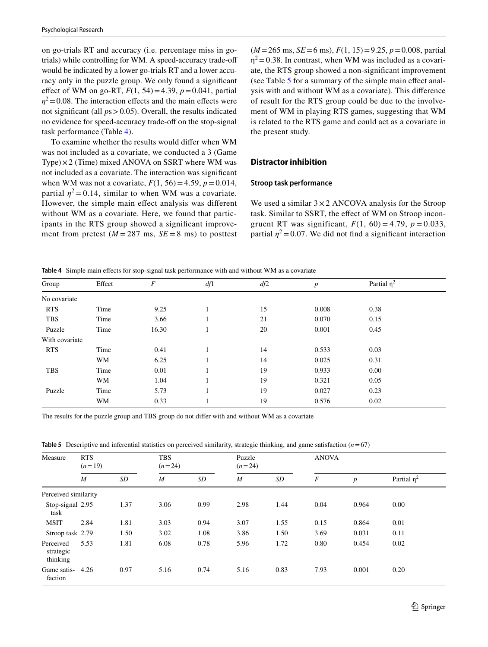on go-trials RT and accuracy (i.e. percentage miss in gotrials) while controlling for WM. A speed-accuracy trade-of would be indicated by a lower go-trials RT and a lower accuracy only in the puzzle group. We only found a signifcant effect of WM on go-RT,  $F(1, 54) = 4.39$ ,  $p = 0.041$ , partial  $\eta^2$  = 0.08. The interaction effects and the main effects were not signifcant (all *p*s>0.05). Overall, the results indicated no evidence for speed-accuracy trade-off on the stop-signal task performance (Table [4\)](#page-6-0).

To examine whether the results would difer when WM was not included as a covariate, we conducted a 3 (Game Type) $\times$ 2 (Time) mixed ANOVA on SSRT where WM was not included as a covariate. The interaction was signifcant when WM was not a covariate,  $F(1, 56) = 4.59$ ,  $p = 0.014$ , partial  $\eta^2 = 0.14$ , similar to when WM was a covariate. However, the simple main efect analysis was diferent without WM as a covariate. Here, we found that participants in the RTS group showed a signifcant improvement from pretest  $(M = 287 \text{ ms}, SE = 8 \text{ ms})$  to posttest  $(M=265 \text{ ms}, SE=6 \text{ ms}), F(1, 15)=9.25, p=0.008, \text{partial}$  $\eta^2$  = 0.38. In contrast, when WM was included as a covariate, the RTS group showed a non-signifcant improvement (see Table [5](#page-6-1) for a summary of the simple main efect analysis with and without WM as a covariate). This diference of result for the RTS group could be due to the involvement of WM in playing RTS games, suggesting that WM is related to the RTS game and could act as a covariate in the present study.

## **Distractor inhibition**

#### **Stroop task performance**

We used a similar  $3 \times 2$  ANCOVA analysis for the Stroop task. Similar to SSRT, the efect of WM on Stroop incongruent RT was significant,  $F(1, 60) = 4.79$ ,  $p = 0.033$ , partial  $\eta^2$  = 0.07. We did not find a significant interaction

<span id="page-6-0"></span>**Table 4** Simple main efects for stop-signal task performance with and without WM as a covariate

| Group          | Effect | F     | df1 | df2 | $\boldsymbol{p}$ | Partial $\eta^2$ |  |
|----------------|--------|-------|-----|-----|------------------|------------------|--|
| No covariate   |        |       |     |     |                  |                  |  |
| <b>RTS</b>     | Time   | 9.25  |     | 15  | 0.008            | 0.38             |  |
| <b>TBS</b>     | Time   | 3.66  |     | 21  | 0.070            | 0.15             |  |
| Puzzle         | Time   | 16.30 |     | 20  | 0.001            | 0.45             |  |
| With covariate |        |       |     |     |                  |                  |  |
| <b>RTS</b>     | Time   | 0.41  |     | 14  | 0.533            | 0.03             |  |
|                | WM     | 6.25  |     | 14  | 0.025            | 0.31             |  |
| <b>TBS</b>     | Time   | 0.01  |     | 19  | 0.933            | 0.00             |  |
|                | WM     | 1.04  |     | 19  | 0.321            | 0.05             |  |
| Puzzle         | Time   | 5.73  |     | 19  | 0.027            | 0.23             |  |
|                | WM     | 0.33  |     | 19  | 0.576            | 0.02             |  |

The results for the puzzle group and TBS group do not difer with and without WM as a covariate

<span id="page-6-1"></span>**Table 5** Descriptive and inferential statistics on perceived similarity, strategic thinking, and game satisfaction (*n*=67)

| Measure                            | <b>RTS</b><br>$(n=19)$ |                 | <b>TBS</b><br>$(n=24)$ |      | Puzzle<br>$(n=24)$ |      |                  | <b>ANOVA</b>     |               |  |
|------------------------------------|------------------------|-----------------|------------------------|------|--------------------|------|------------------|------------------|---------------|--|
|                                    | $\overline{M}$         | SD <sub>-</sub> | $\boldsymbol{M}$       | SD   | $\boldsymbol{M}$   | SD   | $\boldsymbol{F}$ | $\boldsymbol{p}$ | Partial $n^2$ |  |
| Perceived similarity               |                        |                 |                        |      |                    |      |                  |                  |               |  |
| Stop-signal 2.95<br>task           |                        | 1.37            | 3.06                   | 0.99 | 2.98               | 1.44 | 0.04             | 0.964            | 0.00          |  |
| <b>MSIT</b>                        | 2.84                   | 1.81            | 3.03                   | 0.94 | 3.07               | 1.55 | 0.15             | 0.864            | 0.01          |  |
| Stroop task 2.79                   |                        | 1.50            | 3.02                   | 1.08 | 3.86               | 1.50 | 3.69             | 0.031            | 0.11          |  |
| Perceived<br>strategic<br>thinking | 5.53                   | 1.81            | 6.08                   | 0.78 | 5.96               | 1.72 | 0.80             | 0.454            | 0.02          |  |
| Game satis-<br>faction             | 4.26                   | 0.97            | 5.16                   | 0.74 | 5.16               | 0.83 | 7.93             | 0.001            | 0.20          |  |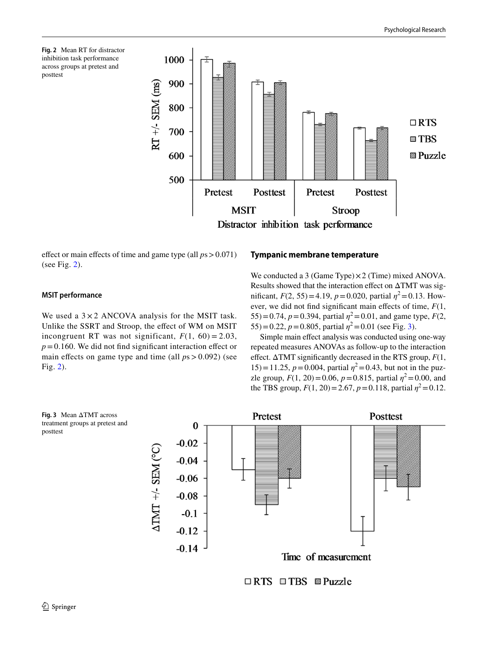<span id="page-7-0"></span>



efect or main efects of time and game type (all *p*s>0.071) (see Fig.  $2$ ).

# **Tympanic membrane temperature**

**MSIT performance**

We used a  $3 \times 2$  ANCOVA analysis for the MSIT task. Unlike the SSRT and Stroop, the efect of WM on MSIT incongruent RT was not significant,  $F(1, 60) = 2.03$ ,  $p = 0.160$ . We did not find significant interaction effect or main effects on game type and time (all  $ps > 0.092$ ) (see Fig. [2](#page-7-0)).

We conducted a 3 (Game Type) $\times$ 2 (Time) mixed ANOVA. Results showed that the interaction effect on  $\Delta TMT$  was significant,  $F(2, 55) = 4.19$ ,  $p = 0.020$ , partial  $\eta^2 = 0.13$ . However, we did not fnd signifcant main efects of time, *F*(1, 55)=0.74,  $p = 0.394$ , partial  $\eta^2 = 0.01$ , and game type,  $F(2,$ 55)=0.22,  $p = 0.805$ , partial  $\eta^2 = 0.01$  (see Fig. [3\)](#page-7-1).

Simple main efect analysis was conducted using one-way repeated measures ANOVAs as follow-up to the interaction efect. ΔTMT signifcantly decreased in the RTS group, *F*(1, 15) = 11.25,  $p = 0.004$ , partial  $\eta^2 = 0.43$ , but not in the puzzle group,  $F(1, 20) = 0.06$ ,  $p = 0.815$ , partial  $\eta^2 = 0.00$ , and the TBS group,  $F(1, 20) = 2.67$ ,  $p = 0.118$ , partial  $\eta^2 = 0.12$ .

<span id="page-7-1"></span>

 $\Box$  RTS  $\Box$  TBS  $\Box$  Puzzle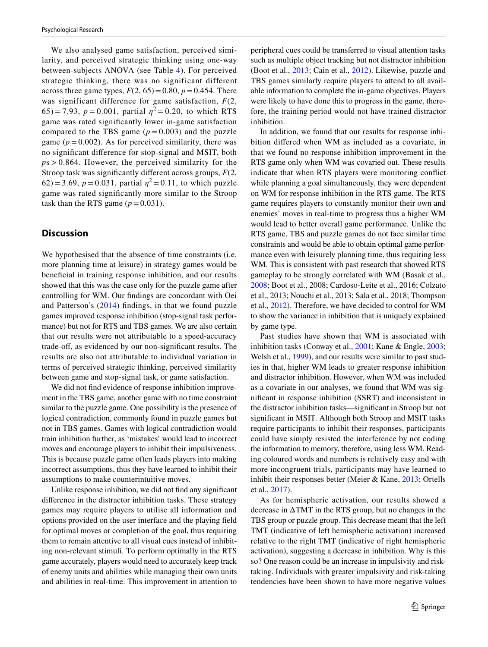We also analysed game satisfaction, perceived similarity, and perceived strategic thinking using one-way between-subjects ANOVA (see Table [4](#page-6-0)). For perceived strategic thinking, there was no significant different across three game types,  $F(2, 65) = 0.80$ ,  $p = 0.454$ . There was significant difference for game satisfaction, *F*(2, 65) = 7.93,  $p = 0.001$ , partial  $\eta^2 = 0.20$ , to which RTS game was rated signifcantly lower in-game satisfaction compared to the TBS game  $(p = 0.003)$  and the puzzle game  $(p = 0.002)$ . As for perceived similarity, there was no signifcant diference for stop-signal and MSIT, both *p*s > 0.864. However, the perceived similarity for the Stroop task was signifcantly diferent across groups, *F*(2, 62) = 3.69,  $p = 0.031$ , partial  $\eta^2 = 0.11$ , to which puzzle game was rated signifcantly more similar to the Stroop task than the RTS game  $(p=0.031)$ .

# **Discussion**

We hypothesised that the absence of time constraints (i.e. more planning time at leisure) in strategy games would be benefcial in training response inhibition, and our results showed that this was the case only for the puzzle game after controlling for WM. Our fndings are concordant with Oei and Patterson's ([2014\)](#page-11-12) fndings, in that we found puzzle games improved response inhibition (stop-signal task performance) but not for RTS and TBS games. We are also certain that our results were not attributable to a speed-accuracy trade-off, as evidenced by our non-significant results. The results are also not attributable to individual variation in terms of perceived strategic thinking, perceived similarity between game and stop-signal task, or game satisfaction.

We did not fnd evidence of response inhibition improvement in the TBS game, another game with no time constraint similar to the puzzle game. One possibility is the presence of logical contradiction, commonly found in puzzle games but not in TBS games. Games with logical contradiction would train inhibition further, as 'mistakes' would lead to incorrect moves and encourage players to inhibit their impulsiveness. This is because puzzle game often leads players into making incorrect assumptions, thus they have learned to inhibit their assumptions to make counterintuitive moves.

Unlike response inhibition, we did not fnd any signifcant diference in the distractor inhibition tasks. These strategy games may require players to utilise all information and options provided on the user interface and the playing feld for optimal moves or completion of the goal, thus requiring them to remain attentive to all visual cues instead of inhibiting non-relevant stimuli. To perform optimally in the RTS game accurately, players would need to accurately keep track of enemy units and abilities while managing their own units and abilities in real-time. This improvement in attention to peripheral cues could be transferred to visual attention tasks such as multiple object tracking but not distractor inhibition (Boot et al., [2013](#page-10-22); Cain et al., [2012\)](#page-10-23). Likewise, puzzle and TBS games similarly require players to attend to all available information to complete the in-game objectives. Players were likely to have done this to progress in the game, therefore, the training period would not have trained distractor inhibition.

In addition, we found that our results for response inhibition difered when WM as included as a covariate, in that we found no response inhibition improvement in the RTS game only when WM was covaried out. These results indicate that when RTS players were monitoring confict while planning a goal simultaneously, they were dependent on WM for response inhibition in the RTS game. The RTS game requires players to constantly monitor their own and enemies' moves in real-time to progress thus a higher WM would lead to better overall game performance. Unlike the RTS game, TBS and puzzle games do not face similar time constraints and would be able to obtain optimal game performance even with leisurely planning time, thus requiring less WM. This is consistent with past research that showed RTS gameplay to be strongly correlated with WM (Basak et al., [2008](#page-10-1); Boot et al., 2008; Cardoso-Leite et al., 2016; Colzato et al., 2013; Nouchi et al., 2013; Sala et al., 2018; Thompson et al., [2012](#page-11-11)). Therefore, we have decided to control for WM to show the variance in inhibition that is uniquely explained by game type.

Past studies have shown that WM is associated with inhibition tasks (Conway et al., [2001;](#page-10-17) Kane & Engle, [2003](#page-11-19); Welsh et al., [1999\)](#page-12-1), and our results were similar to past studies in that, higher WM leads to greater response inhibition and distractor inhibition. However, when WM was included as a covariate in our analyses, we found that WM was signifcant in response inhibition (SSRT) and inconsistent in the distractor inhibition tasks—signifcant in Stroop but not signifcant in MSIT. Although both Stroop and MSIT tasks require participants to inhibit their responses, participants could have simply resisted the interference by not coding the information to memory, therefore, using less WM. Reading coloured words and numbers is relatively easy and with more incongruent trials, participants may have learned to inhibit their responses better (Meier & Kane, [2013](#page-11-25); Ortells et al., [2017\)](#page-11-26).

As for hemispheric activation, our results showed a decrease in ΔTMT in the RTS group, but no changes in the TBS group or puzzle group. This decrease meant that the left TMT (indicative of left hemispheric activation) increased relative to the right TMT (indicative of right hemispheric activation), suggesting a decrease in inhibition. Why is this so? One reason could be an increase in impulsivity and risktaking. Individuals with greater impulsivity and risk-taking tendencies have been shown to have more negative values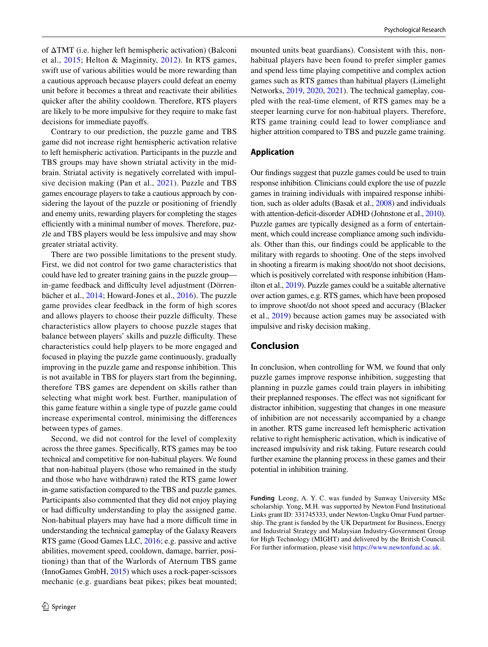of ΔTMT (i.e. higher left hemispheric activation) (Balconi et al., [2015;](#page-10-18) Helton & Maginnity, [2012](#page-11-21)). In RTS games, swift use of various abilities would be more rewarding than a cautious approach because players could defeat an enemy unit before it becomes a threat and reactivate their abilities quicker after the ability cooldown. Therefore, RTS players are likely to be more impulsive for they require to make fast decisions for immediate payofs.

Contrary to our prediction, the puzzle game and TBS game did not increase right hemispheric activation relative to left hemispheric activation. Participants in the puzzle and TBS groups may have shown striatal activity in the midbrain. Striatal activity is negatively correlated with impulsive decision making (Pan et al., [2021](#page-11-27)). Puzzle and TBS games encourage players to take a cautious approach by considering the layout of the puzzle or positioning of friendly and enemy units, rewarding players for completing the stages efficiently with a minimal number of moves. Therefore, puzzle and TBS players would be less impulsive and may show greater striatal activity.

There are two possible limitations to the present study. First, we did not control for two game characteristics that could have led to greater training gains in the puzzle group in-game feedback and difficulty level adjustment (Dörrenbächer et al., [2014](#page-10-24); Howard-Jones et al., [2016](#page-11-28)). The puzzle game provides clear feedback in the form of high scores and allows players to choose their puzzle difficulty. These characteristics allow players to choose puzzle stages that balance between players' skills and puzzle difficulty. These characteristics could help players to be more engaged and focused in playing the puzzle game continuously, gradually improving in the puzzle game and response inhibition. This is not available in TBS for players start from the beginning, therefore TBS games are dependent on skills rather than selecting what might work best. Further, manipulation of this game feature within a single type of puzzle game could increase experimental control, minimising the diferences between types of games.

Second, we did not control for the level of complexity across the three games. Specifcally, RTS games may be too technical and competitive for non-habitual players. We found that non-habitual players (those who remained in the study and those who have withdrawn) rated the RTS game lower in-game satisfaction compared to the TBS and puzzle games. Participants also commented that they did not enjoy playing or had difculty understanding to play the assigned game. Non-habitual players may have had a more difficult time in understanding the technical gameplay of the Galaxy Reavers RTS game (Good Games LLC, [2016;](#page-10-19) e.g. passive and active abilities, movement speed, cooldown, damage, barrier, positioning) than that of the Warlords of Aternum TBS game (InnoGames GmbH, [2015](#page-10-16)) which uses a rock-paper-scissors mechanic (e.g. guardians beat pikes; pikes beat mounted;

mounted units beat guardians). Consistent with this, nonhabitual players have been found to prefer simpler games and spend less time playing competitive and complex action games such as RTS games than habitual players (Limelight Networks, [2019,](#page-11-29) [2020](#page-11-30), [2021](#page-11-31)). The technical gameplay, coupled with the real-time element, of RTS games may be a steeper learning curve for non-habitual players. Therefore, RTS game training could lead to lower compliance and higher attrition compared to TBS and puzzle game training.

## **Application**

Our fndings suggest that puzzle games could be used to train response inhibition. Clinicians could explore the use of puzzle games in training individuals with impaired response inhibition, such as older adults (Basak et al., [2008](#page-10-1)) and individuals with attention-deficit-disorder ADHD (Johnstone et al., [2010\)](#page-11-32). Puzzle games are typically designed as a form of entertainment, which could increase compliance among such individuals. Other than this, our fndings could be applicable to the military with regards to shooting. One of the steps involved in shooting a frearm is making shoot/do not shoot decisions, which is positively correlated with response inhibition (Hamilton et al., [2019\)](#page-11-33). Puzzle games could be a suitable alternative over action games, e.g. RTS games, which have been proposed to improve shoot/do not shoot speed and accuracy (Blacker et al., [2019\)](#page-10-4) because action games may be associated with impulsive and risky decision making.

# **Conclusion**

In conclusion, when controlling for WM, we found that only puzzle games improve response inhibition, suggesting that planning in puzzle games could train players in inhibiting their preplanned responses. The efect was not signifcant for distractor inhibition, suggesting that changes in one measure of inhibition are not necessarily accompanied by a change in another. RTS game increased left hemispheric activation relative to right hemispheric activation, which is indicative of increased impulsivity and risk taking. Future research could further examine the planning process in these games and their potential in inhibition training.

**Funding** Leong, A. Y. C. was funded by Sunway University MSc scholarship. Yong, M.H. was supported by Newton Fund Institutional Links grant ID: 331745333, under Newton-Ungku Omar Fund partnership. The grant is funded by the UK Department for Business, Energy and Industrial Strategy and Malaysian Industry-Government Group for High Technology (MIGHT) and delivered by the British Council. For further information, please visit [https://www.newtonfund.ac.uk.](https://www.newtonfund.ac.uk)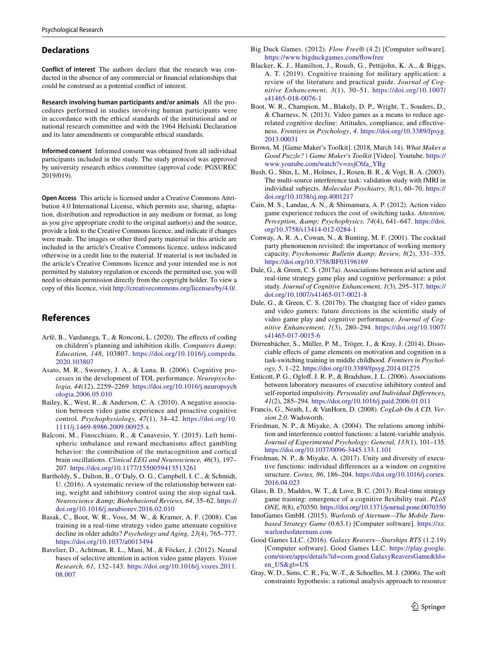#### **Declarations**

**Conflict of interest** The authors declare that the research was conducted in the absence of any commercial or fnancial relationships that could be construed as a potential confict of interest.

**Research involving human participants and/or animals** All the procedures performed in studies involving human participants were in accordance with the ethical standards of the institutional and or national research committee and with the 1964 Helsinki Declaration and its later amendments or comparable ethical standards.

**Informed consent** Informed consent was obtained from all individual participants included in the study. The study protocol was approved by university research ethics committee (approval code: PGSUREC 2019/019).

**Open Access** This article is licensed under a Creative Commons Attribution 4.0 International License, which permits use, sharing, adaptation, distribution and reproduction in any medium or format, as long as you give appropriate credit to the original author(s) and the source, provide a link to the Creative Commons licence, and indicate if changes were made. The images or other third party material in this article are included in the article's Creative Commons licence, unless indicated otherwise in a credit line to the material. If material is not included in the article's Creative Commons licence and your intended use is not permitted by statutory regulation or exceeds the permitted use, you will need to obtain permission directly from the copyright holder. To view a copy of this licence, visit <http://creativecommons.org/licenses/by/4.0/>.

# **References**

- <span id="page-10-8"></span>Arfé, B., Vardanega, T., & Ronconi, L. (2020). The effects of coding on children's planning and inhibition skills. *Computers & Education, 148*, 103807. [https://doi.org/10.1016/j.compedu.](https://doi.org/10.1016/j.compedu.2020.103807) [2020.103807](https://doi.org/10.1016/j.compedu.2020.103807)
- <span id="page-10-9"></span>Asato, M. R., Sweeney, J. A., & Luna, B. (2006). Cognitive processes in the development of TOL performance. *Neuropsychologia, 44*(12), 2259–2269. [https://doi.org/10.1016/j.neuropsych](https://doi.org/10.1016/j.neuropsychologia.2006.05.010) [ologia.2006.05.010](https://doi.org/10.1016/j.neuropsychologia.2006.05.010)
- <span id="page-10-11"></span>Bailey, K., West, R., & Anderson, C. A. (2010). A negative association between video game experience and proactive cognitive control. *Psychophysiology, 47*(1), 34–42. [https://doi.org/10.](https://doi.org/10.1111/j.1469-8986.2009.00925.x) [1111/j.1469-8986.2009.00925.x](https://doi.org/10.1111/j.1469-8986.2009.00925.x)
- <span id="page-10-18"></span>Balconi, M., Finocchiaro, R., & Canavesio, Y. (2015). Left hemispheric imbalance and reward mechanisms afect gambling behavior: the contribution of the metacognition and cortical brain oscillations. *Clinical EEG and Neuroscience, 46*(3), 197– 207. <https://doi.org/10.1177/1550059413513261>
- <span id="page-10-6"></span>Bartholdy, S., Dalton, B., O'Daly, O. G., Campbell, I. C., & Schmidt, U. (2016). A systematic review of the relationship between eating, weight and inhibitory control using the stop signal task. *Neuroscience & Biobehavioral Reviews, 64*, 35–62. [https://](https://doi.org/10.1016/j.neubiorev.2016.02.010) [doi.org/10.1016/j.neubiorev.2016.02.010](https://doi.org/10.1016/j.neubiorev.2016.02.010)
- <span id="page-10-1"></span>Basak, C., Boot, W. R., Voss, M. W., & Kramer, A. F. (2008). Can training in a real-time strategy video game attenuate cognitive decline in older adults? *Psychology and Aging, 23*(4), 765–777. <https://doi.org/10.1037/a0013494>
- <span id="page-10-0"></span>Bavelier, D., Achtman, R. L., Mani, M., & Föcker, J. (2012). Neural bases of selective attention in action video game players. *Vision Research, 61*, 132–143. [https://doi.org/10.1016/j.visres.2011.](https://doi.org/10.1016/j.visres.2011.08.007) [08.007](https://doi.org/10.1016/j.visres.2011.08.007)
- <span id="page-10-15"></span>Big Duck Games. (2012). *Flow Free®* (4.2) [Computer software]. https://www.bigduckgames.com/flowfree
- <span id="page-10-4"></span>Blacker, K. J., Hamilton, J., Roush, G., Pettijohn, K. A., & Biggs, A. T. (2019). Cognitive training for military application: a review of the literature and practical guide. *Journal of Cognitive Enhancement, 3*(1), 30–51. [https://doi.org/10.1007/](https://doi.org/10.1007/s41465-018-0076-1) [s41465-018-0076-1](https://doi.org/10.1007/s41465-018-0076-1)
- <span id="page-10-22"></span>Boot, W. R., Champion, M., Blakely, D. P., Wright, T., Souders, D., & Charness, N. (2013). Video games as a means to reduce agerelated cognitive decline: Attitudes, compliance, and efectiveness. *Frontiers in Psychology*, *4*. [https://doi.org/10.3389/fpsyg.](https://doi.org/10.3389/fpsyg.2013.00031) [2013.00031](https://doi.org/10.3389/fpsyg.2013.00031)
- <span id="page-10-14"></span>Brown, M. [Game Maker's Toolkit]. (2018, March 14). *What Makes a Good Puzzle? | Game Maker's Toolkit* [Video]. Youtube. [https://](https://www.youtube.com/watch?v=zsjC6fa_YBg) [www.youtube.com/watch?v=zsjC6fa\\_YBg](https://www.youtube.com/watch?v=zsjC6fa_YBg)
- <span id="page-10-20"></span>Bush, G., Shin, L. M., Holmes, J., Rosen, B. R., & Vogt, B. A. (2003). The multi-source interference task: validation study with fMRI in individual subjects. *Molecular Psychiatry, 8*(1), 60–70. [https://](https://doi.org/10.1038/sj.mp.4001217) [doi.org/10.1038/sj.mp.4001217](https://doi.org/10.1038/sj.mp.4001217)
- <span id="page-10-23"></span>Cain, M. S., Landau, A. N., & Shimamura, A. P. (2012). Action video game experience reduces the cost of switching tasks. *Attention,*  Perception, & Psychophysics, 74(4), 641-647. [https://doi.](https://doi.org/10.3758/s13414-012-0284-1) [org/10.3758/s13414-012-0284-1](https://doi.org/10.3758/s13414-012-0284-1)
- <span id="page-10-17"></span>Conway, A. R. A., Cowan, N., & Bunting, M. F. (2001). The cocktail party phenomenon revisited: the importance of working memory capacity. *Psychonomic Bulletin & amp*; Review, 8(2), 331-335. <https://doi.org/10.3758/BF03196169>
- <span id="page-10-2"></span>Dale, G., & Green, C. S. (2017a). Associations between avid action and real-time strategy game play and cognitive performance: a pilot study. *Journal of Cognitive Enhancement, 1*(3), 295–317. [https://](https://doi.org/10.1007/s41465-017-0021-8) [doi.org/10.1007/s41465-017-0021-8](https://doi.org/10.1007/s41465-017-0021-8)
- <span id="page-10-13"></span>Dale, G., & Green, C. S. (2017b). The changing face of video games and video gamers: future directions in the scientifc study of video game play and cognitive performance. *Journal of Cognitive Enhancement, 1*(3), 280–294. [https://doi.org/10.1007/](https://doi.org/10.1007/s41465-017-0015-6) [s41465-017-0015-6](https://doi.org/10.1007/s41465-017-0015-6)
- <span id="page-10-24"></span>Dörrenbächer, S., Müller, P. M., Tröger, J., & Kray, J. (2014). Dissociable efects of game elements on motivation and cognition in a task-switching training in middle childhood. *Frontiers in Psychology, 5*, 1–22. <https://doi.org/10.3389/fpsyg.2014.01275>
- <span id="page-10-10"></span>Enticott, P. G., Oglof, J. R. P., & Bradshaw, J. L. (2006). Associations between laboratory measures of executive inhibitory control and self-reported impulsivity. *Personality and Individual Diferences, 41*(2), 285–294.<https://doi.org/10.1016/j.paid.2006.01.011>
- <span id="page-10-21"></span>Francis, G., Neath, I., & VanHorn, D. (2008). *CogLab On A CD, Version 2.0*. Wadsworth.
- <span id="page-10-7"></span>Friedman, N. P., & Miyake, A. (2004). The relations among inhibition and interference control functions: a latent-variable analysis. *Journal of Experimental Psychology: General, 133*(1), 101–135. <https://doi.org/10.1037/0096-3445.133.1.101>
- <span id="page-10-5"></span>Friedman, N. P., & Miyake, A. (2017). Unity and diversity of executive functions: individual diferences as a window on cognitive structure. *Cortex, 86*, 186–204. [https://doi.org/10.1016/j.cortex.](https://doi.org/10.1016/j.cortex.2016.04.023) [2016.04.023](https://doi.org/10.1016/j.cortex.2016.04.023)
- <span id="page-10-3"></span>Glass, B. D., Maddox, W. T., & Love, B. C. (2013). Real-time strategy game training: emergence of a cognitive fexibility trait. *PLoS ONE, 8*(8), e70350.<https://doi.org/10.1371/journal.pone.0070350>
- <span id="page-10-16"></span>InnoGames GmbH. (2015). *Warlords of Aternum—The Mobile Turnbased Strategy Game* (0.63.1) [Computer software]. [https://zz.](https://zz.warlordsofaternum.com) [warlordsofaternum.com](https://zz.warlordsofaternum.com)
- <span id="page-10-19"></span>Good Games LLC. (2016). *Galaxy Reavers—Starships RTS* (1.2.19) [Computer software]. Good Games LLC. [https://play.google.](https://play.google.com/store/apps/details?id=com.good.GalaxyReaversGame&hl=en_US&gl=US) [com/store/apps/details?id=com.good.GalaxyReaversGame&hl=](https://play.google.com/store/apps/details?id=com.good.GalaxyReaversGame&hl=en_US&gl=US) [en\\_US&gl=US](https://play.google.com/store/apps/details?id=com.good.GalaxyReaversGame&hl=en_US&gl=US)
- <span id="page-10-12"></span>Gray, W. D., Sims, C. R., Fu, W.-T., & Schoelles, M. J. (2006). The soft constraints hypothesis: a rational analysis approach to resource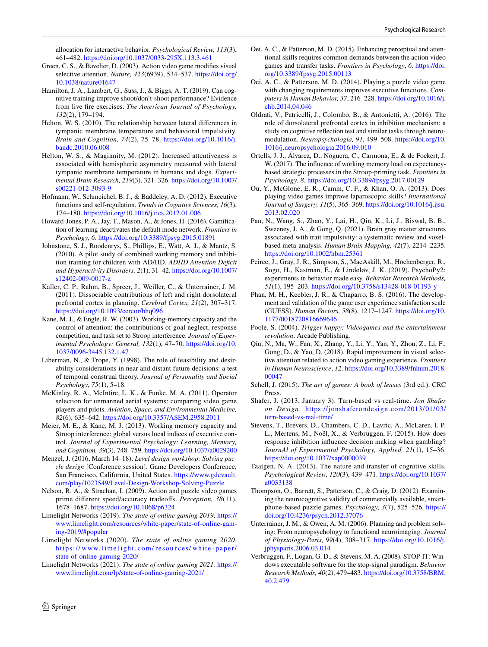allocation for interactive behavior. *Psychological Review, 113*(3), 461–482.<https://doi.org/10.1037/0033-295X.113.3.461>

- <span id="page-11-0"></span>Green, C. S., & Bavelier, D. (2003). Action video game modifes visual selective attention. *Nature, 423*(6939), 534–537. [https://doi.org/](https://doi.org/10.1038/nature01647) [10.1038/nature01647](https://doi.org/10.1038/nature01647)
- <span id="page-11-33"></span>Hamilton, J. A., Lambert, G., Suss, J., & Biggs, A. T. (2019). Can cognitive training improve shoot/don't-shoot performance? Evidence from live fre exercises. *The American Journal of Psychology, 132*(2), 179–194.
- <span id="page-11-20"></span>Helton, W. S. (2010). The relationship between lateral diferences in tympanic membrane temperature and behavioral impulsivity. *Brain and Cognition, 74*(2), 75–78. [https://doi.org/10.1016/j.](https://doi.org/10.1016/j.bandc.2010.06.008) [bandc.2010.06.008](https://doi.org/10.1016/j.bandc.2010.06.008)
- <span id="page-11-21"></span>Helton, W. S., & Maginnity, M. (2012). Increased attentiveness is associated with hemispheric asymmetry measured with lateral tympanic membrane temperature in humans and dogs. *Experimental Brain Research, 219*(3), 321–326. [https://doi.org/10.1007/](https://doi.org/10.1007/s00221-012-3093-9) [s00221-012-3093-9](https://doi.org/10.1007/s00221-012-3093-9)
- <span id="page-11-5"></span>Hofmann, W., Schmeichel, B. J., & Baddeley, A. D. (2012). Executive functions and self-regulation. *Trends in Cognitive Sciences, 16*(3), 174–180.<https://doi.org/10.1016/j.tics.2012.01.006>
- <span id="page-11-28"></span>Howard-Jones, P. A., Jay, T., Mason, A., & Jones, H. (2016). Gamifcation of learning deactivates the default mode network. *Frontiers in Psychology*, *6*.<https://doi.org/10.3389/fpsyg.2015.01891>
- <span id="page-11-32"></span>Johnstone, S. J., Roodenrys, S., Phillips, E., Watt, A. J., & Mantz, S. (2010). A pilot study of combined working memory and inhibition training for children with AD/HD. *ADHD Attention Defcit and Hyperactivity Disorders, 2*(1), 31–42. [https://doi.org/10.1007/](https://doi.org/10.1007/s12402-009-0017-z) [s12402-009-0017-z](https://doi.org/10.1007/s12402-009-0017-z)
- <span id="page-11-18"></span>Kaller, C. P., Rahm, B., Spreer, J., Weiller, C., & Unterrainer, J. M. (2011). Dissociable contributions of left and right dorsolateral prefrontal cortex in planning. *Cerebral Cortex, 21*(2), 307–317. <https://doi.org/10.1093/cercor/bhq096>
- <span id="page-11-19"></span>Kane, M. J., & Engle, R. W. (2003). Working-memory capacity and the control of attention: the contributions of goal neglect, response competition, and task set to Stroop interference. *Journal of Experimental Psychology: General, 132*(1), 47–70. [https://doi.org/10.](https://doi.org/10.1037/0096-3445.132.1.47) [1037/0096-3445.132.1.47](https://doi.org/10.1037/0096-3445.132.1.47)
- <span id="page-11-13"></span>Liberman, N., & Trope, Y. (1998). The role of feasibility and desirability considerations in near and distant future decisions: a test of temporal construal theory. *Journal of Personality and Social Psychology, 75*(1), 5–18.
- <span id="page-11-4"></span>McKinley, R. A., McIntire, L. K., & Funke, M. A. (2011). Operator selection for unmanned aerial systems: comparing video game players and pilots. *Aviation, Space, and Environmental Medicine, 82*(6), 635–642.<https://doi.org/10.3357/ASEM.2958.2011>
- <span id="page-11-25"></span>Meier, M. E., & Kane, M. J. (2013). Working memory capacity and Stroop interference: global versus local indices of executive control. *Journal of Experimental Psychology: Learning, Memory, and Cognition, 39*(3), 748–759.<https://doi.org/10.1037/a0029200>
- <span id="page-11-15"></span>Menzel, J. (2016, March 14–18). *Level design workshop: Solving puzzle design* [Conference session]. Game Developers Conference, San Francisco, California, United States. [https://www.gdcvault.](https://www.gdcvault.com/play/1023549/Level-Design-Workshop-Solving-Puzzle) [com/play/1023549/Level-Design-Workshop-Solving-Puzzle](https://www.gdcvault.com/play/1023549/Level-Design-Workshop-Solving-Puzzle)
- <span id="page-11-10"></span>Nelson, R. A., & Strachan, I. (2009). Action and puzzle video games prime diferent speed/accuracy tradeofs. *Perception, 38*(11), 1678–1687. <https://doi.org/10.1068/p6324>
- <span id="page-11-29"></span>Limelight Networks (2019). *The state of online gaming 2019*. [https://](https://www.limelight.com/resources/white-paper/state-of-online-gaming-2019/#popular) [www.limelight.com/resources/white-paper/state-of-online-gam](https://www.limelight.com/resources/white-paper/state-of-online-gaming-2019/#popular)[ing-2019/#popular](https://www.limelight.com/resources/white-paper/state-of-online-gaming-2019/#popular)
- <span id="page-11-30"></span>Limelight Networks (2020). *The state of online gaming 2020*. [https://](https://www.limelight.com/resources/white-paper/state-of-online-gaming-2020/) www. limel ight. com/ resou rces/ white- paper/ [state-of-online-gaming-2020/](https://www.limelight.com/resources/white-paper/state-of-online-gaming-2020/)
- <span id="page-11-31"></span>Limelight Networks (2021). *The state of online gaming 2021.* [https://](https://www.limelight.com/lp/state-of-online-gaming-2021/) [www.limelight.com/lp/state-of-online-gaming-2021/](https://www.limelight.com/lp/state-of-online-gaming-2021/)
- <span id="page-11-1"></span>Oei, A. C., & Patterson, M. D. (2015). Enhancing perceptual and attentional skills requires common demands between the action video games and transfer tasks. *Frontiers in Psychology*, *6*. [https://doi.](https://doi.org/10.3389/fpsyg.2015.00113) [org/10.3389/fpsyg.2015.00113](https://doi.org/10.3389/fpsyg.2015.00113)
- <span id="page-11-12"></span>Oei, A. C., & Patterson, M. D. (2014). Playing a puzzle video game with changing requirements improves executive functions. *Computers in Human Behavior, 37*, 216–228. [https://doi.org/10.1016/j.](https://doi.org/10.1016/j.chb.2014.04.046) [chb.2014.04.046](https://doi.org/10.1016/j.chb.2014.04.046)
- <span id="page-11-6"></span>Oldrati, V., Patricelli, J., Colombo, B., & Antonietti, A. (2016). The role of dorsolateral prefrontal cortex in inhibition mechanism: a study on cognitive refection test and similar tasks through neuromodulation. *Neuropsychologia, 91*, 499–508. [https://doi.org/10.](https://doi.org/10.1016/j.neuropsychologia.2016.09.010) [1016/j.neuropsychologia.2016.09.010](https://doi.org/10.1016/j.neuropsychologia.2016.09.010)
- <span id="page-11-26"></span>Ortells, J. J., Álvarez, D., Noguera, C., Carmona, E., & de Fockert, J. W. (2017). The infuence of working memory load on expectancybased strategic processes in the Stroop-priming task. *Frontiers in Psychology*, *8*.<https://doi.org/10.3389/fpsyg.2017.00129>
- <span id="page-11-3"></span>Ou, Y., McGlone, E. R., Camm, C. F., & Khan, O. A. (2013). Does playing video games improve laparoscopic skills? *International Journal of Surgery, 11*(5), 365–369. [https://doi.org/10.1016/j.ijsu.](https://doi.org/10.1016/j.ijsu.2013.02.020) [2013.02.020](https://doi.org/10.1016/j.ijsu.2013.02.020)
- <span id="page-11-27"></span>Pan, N., Wang, S., Zhao, Y., Lai, H., Qin, K., Li, J., Biswal, B. B., Sweeney, J. A., & Gong, Q. (2021). Brain gray matter structures associated with trait impulsivity: a systematic review and voxelbased meta-analysis. *Human Brain Mapping, 42*(7), 2214–2235. <https://doi.org/10.1002/hbm.25361>
- <span id="page-11-23"></span>Peirce, J., Gray, J. R., Simpson, S., MacAskill, M., Höchenberger, R., Sogo, H., Kastman, E., & Lindeløv, J. K. (2019). PsychoPy2: experiments in behavior made easy. *Behavior Research Methods, 51*(1), 195–203.<https://doi.org/10.3758/s13428-018-01193-y>
- <span id="page-11-24"></span>Phan, M. H., Keebler, J. R., & Chaparro, B. S. (2016). The development and validation of the game user experience satisfaction scale (GUESS). *Human Factors, 58*(8), 1217–1247. [https://doi.org/10.](https://doi.org/10.1177/0018720816669646) [1177/0018720816669646](https://doi.org/10.1177/0018720816669646)
- <span id="page-11-16"></span>Poole, S. (2004). *Trigger happy: Videogames and the entertainment revolution*. Arcade Publishing.
- <span id="page-11-2"></span>Qiu, N., Ma, W., Fan, X., Zhang, Y., Li, Y., Yan, Y., Zhou, Z., Li, F., Gong, D., & Yao, D. (2018). Rapid improvement in visual selective attention related to action video gaming experience. *Frontiers in Human Neuroscience*, *12*. [https://doi.org/10.3389/fnhum.2018.](https://doi.org/10.3389/fnhum.2018.00047) [00047](https://doi.org/10.3389/fnhum.2018.00047)
- <span id="page-11-17"></span>Schell, J. (2015). *The art of games: A book of lenses* (3rd ed.). CRC Press.
- <span id="page-11-14"></span>Shafer, J. (2013, January 3). Turn-based vs real-time. *Jon Shafer on Design*. [https://jonshaferondesign.](https://jonshaferondesign.com/2013/01/03/turn-based-vs-real-time/) com/2013/01/03/ [turn-based-vs-real-time/](https://jonshaferondesign.com/2013/01/03/turn-based-vs-real-time/)
- <span id="page-11-7"></span>Stevens, T., Brevers, D., Chambers, C. D., Lavric, A., McLaren, I. P. L., Mertens, M., Noël, X., & Verbruggen, F. (2015). How does response inhibition infuence decision making when gambling? *JournAl of Experimental Psychology, Applied, 21*(1), 15–36. <https://doi.org/10.1037/xap0000039>
- <span id="page-11-8"></span>Taatgen, N. A. (2013). The nature and transfer of cognitive skills. *Psychological Review, 120*(3), 439–471. [https://doi.org/10.1037/](https://doi.org/10.1037/a0033138) [a0033138](https://doi.org/10.1037/a0033138)
- <span id="page-11-11"></span>Thompson, O., Barrett, S., Patterson, C., & Craig, D. (2012). Examining the neurocognitive validity of commercially available, smartphone-based puzzle games. *Psychology, 3*(7), 525–526. [https://](https://doi.org/10.4236/psych.2012.37076) [doi.org/10.4236/psych.2012.37076](https://doi.org/10.4236/psych.2012.37076)
- <span id="page-11-9"></span>Unterrainer, J. M., & Owen, A. M. (2006). Planning and problem solving: From neuropsychology to functional neuroimaging. *Journal of Physiology-Paris, 99*(4), 308–317. [https://doi.org/10.1016/j.](https://doi.org/10.1016/j.jphysparis.2006.03.014) [jphysparis.2006.03.014](https://doi.org/10.1016/j.jphysparis.2006.03.014)
- <span id="page-11-22"></span>Verbruggen, F., Logan, G. D., & Stevens, M. A. (2008). STOP-IT: Windows executable software for the stop-signal paradigm. *Behavior Research Methods, 40*(2), 479–483. [https://doi.org/10.3758/BRM.](https://doi.org/10.3758/BRM.40.2.479) [40.2.479](https://doi.org/10.3758/BRM.40.2.479)